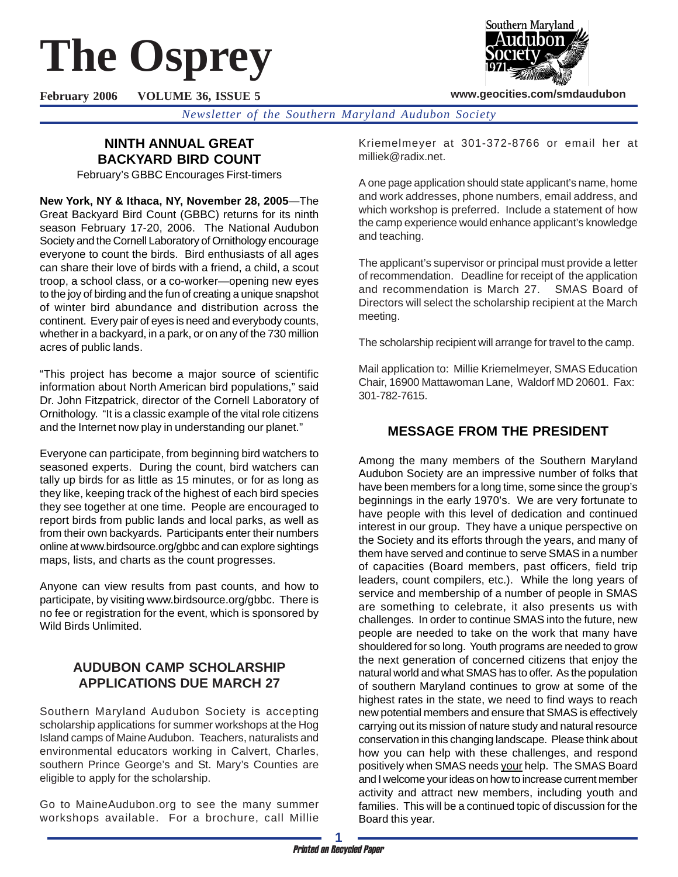# **The Osprey**

Southern Maryland

**www.geocities.com/smdaudubon**

**February 2006 VOLUME 36, ISSUE 5**

*Newsletter of the Southern Maryland Audubon Society*

## **NINTH ANNUAL GREAT BACKYARD BIRD COUNT**

February's GBBC Encourages First-timers

**New York, NY & Ithaca, NY, November 28, 2005**—The Great Backyard Bird Count (GBBC) returns for its ninth season February 17-20, 2006. The National Audubon Society and the Cornell Laboratory of Ornithology encourage everyone to count the birds. Bird enthusiasts of all ages can share their love of birds with a friend, a child, a scout troop, a school class, or a co-worker—opening new eyes to the joy of birding and the fun of creating a unique snapshot of winter bird abundance and distribution across the continent. Every pair of eyes is need and everybody counts, whether in a backyard, in a park, or on any of the 730 million acres of public lands.

"This project has become a major source of scientific information about North American bird populations," said Dr. John Fitzpatrick, director of the Cornell Laboratory of Ornithology. "It is a classic example of the vital role citizens and the Internet now play in understanding our planet."

Everyone can participate, from beginning bird watchers to seasoned experts. During the count, bird watchers can tally up birds for as little as 15 minutes, or for as long as they like, keeping track of the highest of each bird species they see together at one time. People are encouraged to report birds from public lands and local parks, as well as from their own backyards. Participants enter their numbers online at www.birdsource.org/gbbc and can explore sightings maps, lists, and charts as the count progresses.

Anyone can view results from past counts, and how to participate, by visiting www.birdsource.org/gbbc. There is no fee or registration for the event, which is sponsored by Wild Birds Unlimited.

## **AUDUBON CAMP SCHOLARSHIP APPLICATIONS DUE MARCH 27**

Southern Maryland Audubon Society is accepting scholarship applications for summer workshops at the Hog Island camps of Maine Audubon. Teachers, naturalists and environmental educators working in Calvert, Charles, southern Prince George's and St. Mary's Counties are eligible to apply for the scholarship.

Go to MaineAudubon.org to see the many summer workshops available. For a brochure, call Millie Kriemelmeyer at 301-372-8766 or email her at milliek@radix.net.

A one page application should state applicant's name, home and work addresses, phone numbers, email address, and which workshop is preferred. Include a statement of how the camp experience would enhance applicant's knowledge and teaching.

The applicant's supervisor or principal must provide a letter of recommendation. Deadline for receipt of the application and recommendation is March 27. SMAS Board of Directors will select the scholarship recipient at the March meeting.

The scholarship recipient will arrange for travel to the camp.

Mail application to: Millie Kriemelmeyer, SMAS Education Chair, 16900 Mattawoman Lane, Waldorf MD 20601. Fax: 301-782-7615.

## **MESSAGE FROM THE PRESIDENT**

Among the many members of the Southern Maryland Audubon Society are an impressive number of folks that have been members for a long time, some since the group's beginnings in the early 1970's. We are very fortunate to have people with this level of dedication and continued interest in our group. They have a unique perspective on the Society and its efforts through the years, and many of them have served and continue to serve SMAS in a number of capacities (Board members, past officers, field trip leaders, count compilers, etc.). While the long years of service and membership of a number of people in SMAS are something to celebrate, it also presents us with challenges. In order to continue SMAS into the future, new people are needed to take on the work that many have shouldered for so long. Youth programs are needed to grow the next generation of concerned citizens that enjoy the natural world and what SMAS has to offer. As the population of southern Maryland continues to grow at some of the highest rates in the state, we need to find ways to reach new potential members and ensure that SMAS is effectively carrying out its mission of nature study and natural resource conservation in this changing landscape. Please think about how you can help with these challenges, and respond positively when SMAS needs your help. The SMAS Board and I welcome your ideas on how to increase current member activity and attract new members, including youth and families. This will be a continued topic of discussion for the Board this year.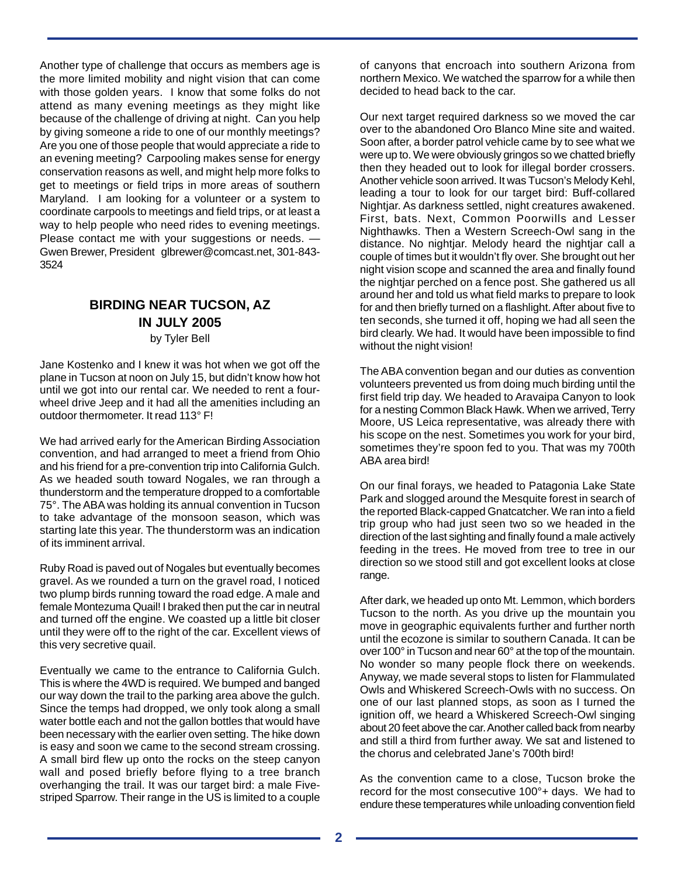Another type of challenge that occurs as members age is the more limited mobility and night vision that can come with those golden years. I know that some folks do not attend as many evening meetings as they might like because of the challenge of driving at night. Can you help by giving someone a ride to one of our monthly meetings? Are you one of those people that would appreciate a ride to an evening meeting? Carpooling makes sense for energy conservation reasons as well, and might help more folks to get to meetings or field trips in more areas of southern Maryland. I am looking for a volunteer or a system to coordinate carpools to meetings and field trips, or at least a way to help people who need rides to evening meetings. Please contact me with your suggestions or needs. — Gwen Brewer, President glbrewer@comcast.net, 301-843- 3524

# **BIRDING NEAR TUCSON, AZ IN JULY 2005**

by Tyler Bell

Jane Kostenko and I knew it was hot when we got off the plane in Tucson at noon on July 15, but didn't know how hot until we got into our rental car. We needed to rent a fourwheel drive Jeep and it had all the amenities including an outdoor thermometer. It read 113° F!

We had arrived early for the American Birding Association convention, and had arranged to meet a friend from Ohio and his friend for a pre-convention trip into California Gulch. As we headed south toward Nogales, we ran through a thunderstorm and the temperature dropped to a comfortable 75°. The ABA was holding its annual convention in Tucson to take advantage of the monsoon season, which was starting late this year. The thunderstorm was an indication of its imminent arrival.

Ruby Road is paved out of Nogales but eventually becomes gravel. As we rounded a turn on the gravel road, I noticed two plump birds running toward the road edge. A male and female Montezuma Quail! I braked then put the car in neutral and turned off the engine. We coasted up a little bit closer until they were off to the right of the car. Excellent views of this very secretive quail.

Eventually we came to the entrance to California Gulch. This is where the 4WD is required. We bumped and banged our way down the trail to the parking area above the gulch. Since the temps had dropped, we only took along a small water bottle each and not the gallon bottles that would have been necessary with the earlier oven setting. The hike down is easy and soon we came to the second stream crossing. A small bird flew up onto the rocks on the steep canyon wall and posed briefly before flying to a tree branch overhanging the trail. It was our target bird: a male Fivestriped Sparrow. Their range in the US is limited to a couple of canyons that encroach into southern Arizona from northern Mexico. We watched the sparrow for a while then decided to head back to the car.

Our next target required darkness so we moved the car over to the abandoned Oro Blanco Mine site and waited. Soon after, a border patrol vehicle came by to see what we were up to. We were obviously gringos so we chatted briefly then they headed out to look for illegal border crossers. Another vehicle soon arrived. It was Tucson's Melody Kehl, leading a tour to look for our target bird: Buff-collared Nightjar. As darkness settled, night creatures awakened. First, bats. Next, Common Poorwills and Lesser Nighthawks. Then a Western Screech-Owl sang in the distance. No nightjar. Melody heard the nightjar call a couple of times but it wouldn't fly over. She brought out her night vision scope and scanned the area and finally found the nightjar perched on a fence post. She gathered us all around her and told us what field marks to prepare to look for and then briefly turned on a flashlight. After about five to ten seconds, she turned it off, hoping we had all seen the bird clearly. We had. It would have been impossible to find without the night vision!

The ABA convention began and our duties as convention volunteers prevented us from doing much birding until the first field trip day. We headed to Aravaipa Canyon to look for a nesting Common Black Hawk. When we arrived, Terry Moore, US Leica representative, was already there with his scope on the nest. Sometimes you work for your bird, sometimes they're spoon fed to you. That was my 700th ABA area bird!

On our final forays, we headed to Patagonia Lake State Park and slogged around the Mesquite forest in search of the reported Black-capped Gnatcatcher. We ran into a field trip group who had just seen two so we headed in the direction of the last sighting and finally found a male actively feeding in the trees. He moved from tree to tree in our direction so we stood still and got excellent looks at close range.

After dark, we headed up onto Mt. Lemmon, which borders Tucson to the north. As you drive up the mountain you move in geographic equivalents further and further north until the ecozone is similar to southern Canada. It can be over 100° in Tucson and near 60° at the top of the mountain. No wonder so many people flock there on weekends. Anyway, we made several stops to listen for Flammulated Owls and Whiskered Screech-Owls with no success. On one of our last planned stops, as soon as I turned the ignition off, we heard a Whiskered Screech-Owl singing about 20 feet above the car. Another called back from nearby and still a third from further away. We sat and listened to the chorus and celebrated Jane's 700th bird!

As the convention came to a close, Tucson broke the record for the most consecutive 100°+ days. We had to endure these temperatures while unloading convention field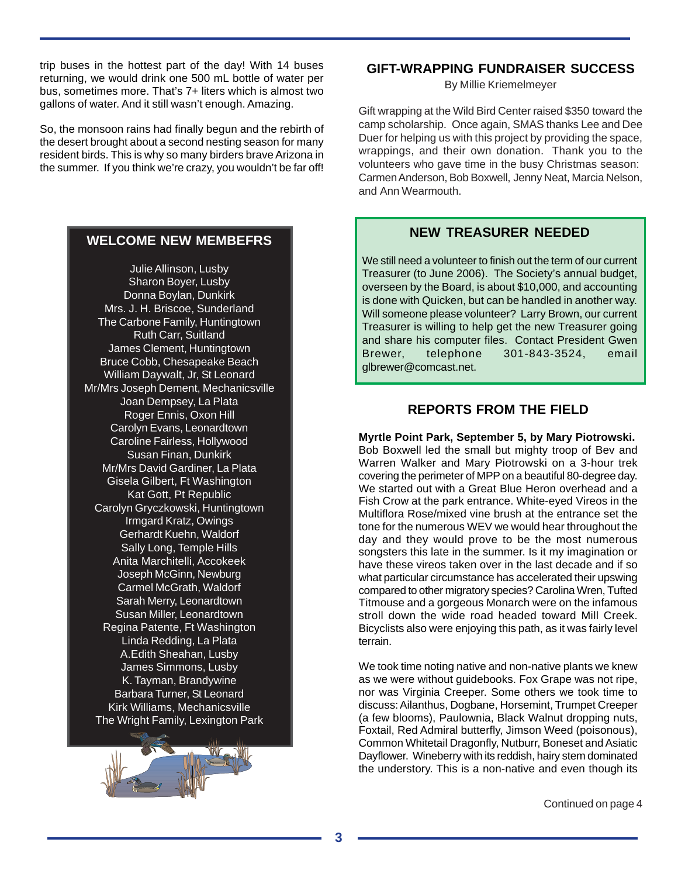trip buses in the hottest part of the day! With 14 buses returning, we would drink one 500 mL bottle of water per bus, sometimes more. That's 7+ liters which is almost two gallons of water. And it still wasn't enough. Amazing.

So, the monsoon rains had finally begun and the rebirth of the desert brought about a second nesting season for many resident birds. This is why so many birders brave Arizona in the summer. If you think we're crazy, you wouldn't be far off!

#### **WELCOME NEW MEMBEFRS**

Julie Allinson, Lusby Sharon Boyer, Lusby Donna Boylan, Dunkirk Mrs. J. H. Briscoe, Sunderland The Carbone Family, Huntingtown Ruth Carr, Suitland James Clement, Huntingtown Bruce Cobb, Chesapeake Beach William Daywalt, Jr, St Leonard Mr/Mrs Joseph Dement, Mechanicsville Joan Dempsey, La Plata Roger Ennis, Oxon Hill Carolyn Evans, Leonardtown Caroline Fairless, Hollywood Susan Finan, Dunkirk Mr/Mrs David Gardiner, La Plata Gisela Gilbert, Ft Washington Kat Gott, Pt Republic Carolyn Gryczkowski, Huntingtown Irmgard Kratz, Owings Gerhardt Kuehn, Waldorf Sally Long, Temple Hills Anita Marchitelli, Accokeek Joseph McGinn, Newburg Carmel McGrath, Waldorf Sarah Merry, Leonardtown Susan Miller, Leonardtown Regina Patente, Ft Washington Linda Redding, La Plata A.Edith Sheahan, Lusby James Simmons, Lusby K. Tayman, Brandywine Barbara Turner, St Leonard Kirk Williams, Mechanicsville The Wright Family, Lexington Park



#### **GIFT-WRAPPING FUNDRAISER SUCCESS**

By Millie Kriemelmeyer

Gift wrapping at the Wild Bird Center raised \$350 toward the camp scholarship. Once again, SMAS thanks Lee and Dee Duer for helping us with this project by providing the space, wrappings, and their own donation. Thank you to the volunteers who gave time in the busy Christmas season: Carmen Anderson, Bob Boxwell, Jenny Neat, Marcia Nelson, and Ann Wearmouth.

#### **NEW TREASURER NEEDED**

We still need a volunteer to finish out the term of our current Treasurer (to June 2006). The Society's annual budget, overseen by the Board, is about \$10,000, and accounting is done with Quicken, but can be handled in another way. Will someone please volunteer? Larry Brown, our current Treasurer is willing to help get the new Treasurer going and share his computer files. Contact President Gwen Brewer, telephone 301-843-3524, email glbrewer@comcast.net.

### **REPORTS FROM THE FIELD**

**Myrtle Point Park, September 5, by Mary Piotrowski.** Bob Boxwell led the small but mighty troop of Bev and Warren Walker and Mary Piotrowski on a 3-hour trek covering the perimeter of MPP on a beautiful 80-degree day. We started out with a Great Blue Heron overhead and a Fish Crow at the park entrance. White-eyed Vireos in the Multiflora Rose/mixed vine brush at the entrance set the tone for the numerous WEV we would hear throughout the day and they would prove to be the most numerous songsters this late in the summer. Is it my imagination or have these vireos taken over in the last decade and if so what particular circumstance has accelerated their upswing compared to other migratory species? Carolina Wren, Tufted Titmouse and a gorgeous Monarch were on the infamous stroll down the wide road headed toward Mill Creek. Bicyclists also were enjoying this path, as it was fairly level terrain.

We took time noting native and non-native plants we knew as we were without guidebooks. Fox Grape was not ripe, nor was Virginia Creeper. Some others we took time to discuss: Ailanthus, Dogbane, Horsemint, Trumpet Creeper (a few blooms), Paulownia, Black Walnut dropping nuts, Foxtail, Red Admiral butterfly, Jimson Weed (poisonous), Common Whitetail Dragonfly, Nutburr, Boneset and Asiatic Dayflower. Wineberry with its reddish, hairy stem dominated the understory. This is a non-native and even though its

Continued on page 4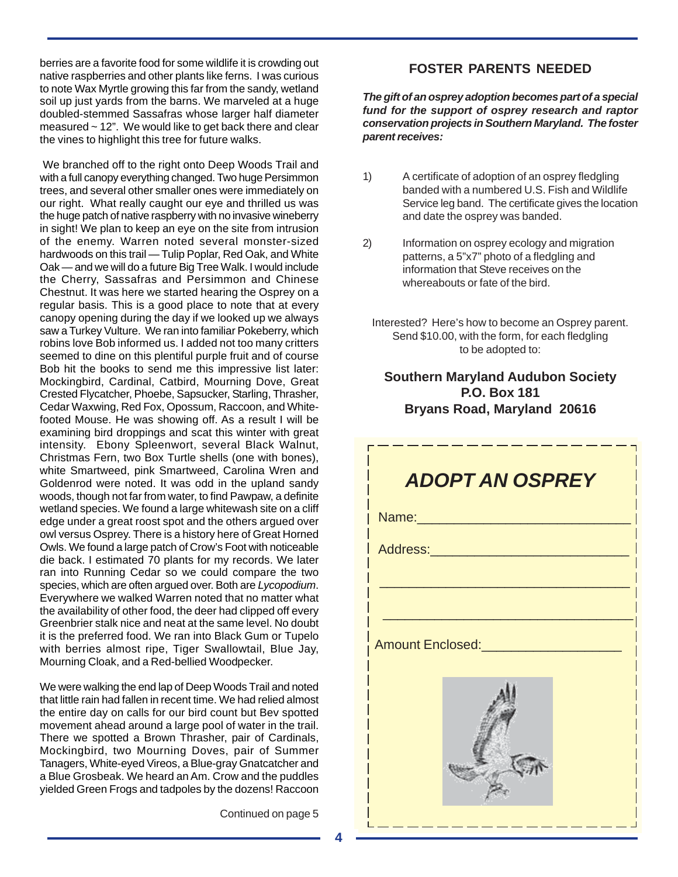berries are a favorite food for some wildlife it is crowding out native raspberries and other plants like ferns. I was curious to note Wax Myrtle growing this far from the sandy, wetland soil up just yards from the barns. We marveled at a huge doubled-stemmed Sassafras whose larger half diameter measured ~ 12". We would like to get back there and clear the vines to highlight this tree for future walks.

 We branched off to the right onto Deep Woods Trail and with a full canopy everything changed. Two huge Persimmon trees, and several other smaller ones were immediately on our right. What really caught our eye and thrilled us was the huge patch of native raspberry with no invasive wineberry in sight! We plan to keep an eye on the site from intrusion of the enemy. Warren noted several monster-sized hardwoods on this trail — Tulip Poplar, Red Oak, and White Oak — and we will do a future Big Tree Walk. I would include the Cherry, Sassafras and Persimmon and Chinese Chestnut. It was here we started hearing the Osprey on a regular basis. This is a good place to note that at every canopy opening during the day if we looked up we always saw a Turkey Vulture. We ran into familiar Pokeberry, which robins love Bob informed us. I added not too many critters seemed to dine on this plentiful purple fruit and of course Bob hit the books to send me this impressive list later: Mockingbird, Cardinal, Catbird, Mourning Dove, Great Crested Flycatcher, Phoebe, Sapsucker, Starling, Thrasher, Cedar Waxwing, Red Fox, Opossum, Raccoon, and Whitefooted Mouse. He was showing off. As a result I will be examining bird droppings and scat this winter with great intensity. Ebony Spleenwort, several Black Walnut, Christmas Fern, two Box Turtle shells (one with bones), white Smartweed, pink Smartweed, Carolina Wren and Goldenrod were noted. It was odd in the upland sandy woods, though not far from water, to find Pawpaw, a definite wetland species. We found a large whitewash site on a cliff edge under a great roost spot and the others argued over owl versus Osprey. There is a history here of Great Horned Owls. We found a large patch of Crow's Foot with noticeable die back. I estimated 70 plants for my records. We later ran into Running Cedar so we could compare the two species, which are often argued over. Both are *Lycopodium*. Everywhere we walked Warren noted that no matter what the availability of other food, the deer had clipped off every Greenbrier stalk nice and neat at the same level. No doubt it is the preferred food. We ran into Black Gum or Tupelo with berries almost ripe, Tiger Swallowtail, Blue Jay, Mourning Cloak, and a Red-bellied Woodpecker.

We were walking the end lap of Deep Woods Trail and noted that little rain had fallen in recent time. We had relied almost the entire day on calls for our bird count but Bev spotted movement ahead around a large pool of water in the trail. There we spotted a Brown Thrasher, pair of Cardinals, Mockingbird, two Mourning Doves, pair of Summer Tanagers, White-eyed Vireos, a Blue-gray Gnatcatcher and a Blue Grosbeak. We heard an Am. Crow and the puddles yielded Green Frogs and tadpoles by the dozens! Raccoon

Continued on page 5

#### **FOSTER PARENTS NEEDED**

*The gift of an osprey adoption becomes part of a special fund for the support of osprey research and raptor conservation projects in Southern Maryland. The foster parent receives:*

- 1) A certificate of adoption of an osprey fledgling banded with a numbered U.S. Fish and Wildlife Service leg band. The certificate gives the location and date the osprey was banded.
- 2) Information on osprey ecology and migration patterns, a 5"x7" photo of a fledgling and information that Steve receives on the whereabouts or fate of the bird.
	- Interested? Here's how to become an Osprey parent. Send \$10.00, with the form, for each fledgling to be adopted to:

## **Southern Maryland Audubon Society P.O. Box 181 Bryans Road, Maryland 20616**

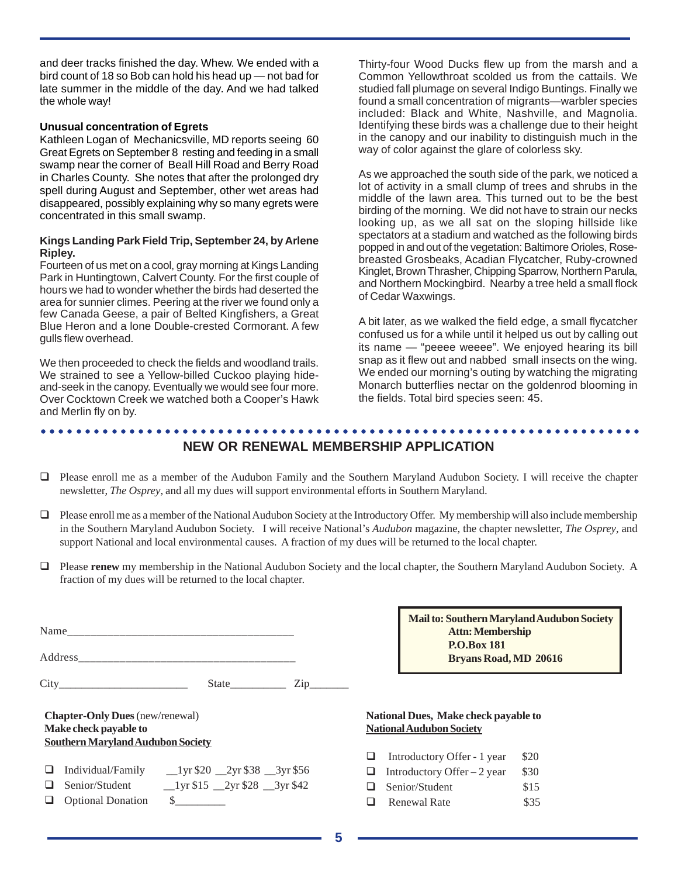and deer tracks finished the day. Whew. We ended with a bird count of 18 so Bob can hold his head up — not bad for late summer in the middle of the day. And we had talked the whole way!

#### **Unusual concentration of Egrets**

Kathleen Logan of Mechanicsville, MD reports seeing 60 Great Egrets on September 8 resting and feeding in a small swamp near the corner of Beall Hill Road and Berry Road in Charles County. She notes that after the prolonged dry spell during August and September, other wet areas had disappeared, possibly explaining why so many egrets were concentrated in this small swamp.

#### **Kings Landing Park Field Trip, September 24, by Arlene Ripley.**

Fourteen of us met on a cool, gray morning at Kings Landing Park in Huntingtown, Calvert County. For the first couple of hours we had to wonder whether the birds had deserted the area for sunnier climes. Peering at the river we found only a few Canada Geese, a pair of Belted Kingfishers, a Great Blue Heron and a lone Double-crested Cormorant. A few gulls flew overhead.

We then proceeded to check the fields and woodland trails. We strained to see a Yellow-billed Cuckoo playing hideand-seek in the canopy. Eventually we would see four more. Over Cocktown Creek we watched both a Cooper's Hawk and Merlin fly on by.

Thirty-four Wood Ducks flew up from the marsh and a Common Yellowthroat scolded us from the cattails. We studied fall plumage on several Indigo Buntings. Finally we found a small concentration of migrants—warbler species included: Black and White, Nashville, and Magnolia. Identifying these birds was a challenge due to their height in the canopy and our inability to distinguish much in the way of color against the glare of colorless sky.

As we approached the south side of the park, we noticed a lot of activity in a small clump of trees and shrubs in the middle of the lawn area. This turned out to be the best birding of the morning. We did not have to strain our necks looking up, as we all sat on the sloping hillside like spectators at a stadium and watched as the following birds popped in and out of the vegetation: Baltimore Orioles, Rosebreasted Grosbeaks, Acadian Flycatcher, Ruby-crowned Kinglet, Brown Thrasher, Chipping Sparrow, Northern Parula, and Northern Mockingbird. Nearby a tree held a small flock of Cedar Waxwings.

A bit later, as we walked the field edge, a small flycatcher confused us for a while until it helped us out by calling out its name — "peeee weeee". We enjoyed hearing its bill snap as it flew out and nabbed small insects on the wing. We ended our morning's outing by watching the migrating Monarch butterflies nectar on the goldenrod blooming in the fields. Total bird species seen: 45.

#### ○○○○○○○○○○○○○○○○○○○○○○○○○○○○○○○○○○○○○○○○○○○○○ ○○○○○○○○○○○○○○○○○○○○○○○ **NEW OR RENEWAL MEMBERSHIP APPLICATION**

- Please enroll me as a member of the Audubon Family and the Southern Maryland Audubon Society. I will receive the chapter newsletter, *The Osprey*, and all my dues will support environmental efforts in Southern Maryland.
- Please enroll me as a member of the National Audubon Society at the Introductory Offer.My membership will also include membership in the Southern Maryland Audubon Society. I will receive National's *Audubon* magazine, the chapter newsletter, *The Osprey*, and support National and local environmental causes. A fraction of my dues will be returned to the local chapter.
- Please **renew** my membership in the National Audubon Society and the local chapter, the Southern Maryland Audubon Society. A fraction of my dues will be returned to the local chapter.

|                                                                                                             |                          | State $\frac{1}{\text{Lip}}$ $\frac{1}{\text{Lip}}$            |  |  |  |
|-------------------------------------------------------------------------------------------------------------|--------------------------|----------------------------------------------------------------|--|--|--|
| <b>Chapter-Only Dues</b> (new/renewal)<br>Make check payable to<br><b>Southern Maryland Audubon Society</b> |                          |                                                                |  |  |  |
|                                                                                                             | <b>Optional Donation</b> | $\Box$ Individual/Family __1yr \$20 __2yr \$38 __3yr \$56<br>s |  |  |  |

**Mail to: Southern Maryland Audubon Society Attn: Membership P.O.Box 181 Bryans Road, MD 20616**

#### **National Dues, Make check payable to National Audubon Society**

| ❏ |  | Introductory Offer - 1 year | \$20 |
|---|--|-----------------------------|------|
|   |  |                             |      |

- Introductory Offer  $-2$  year \$30
- Senior/Student \$15
- Renewal Rate \$35